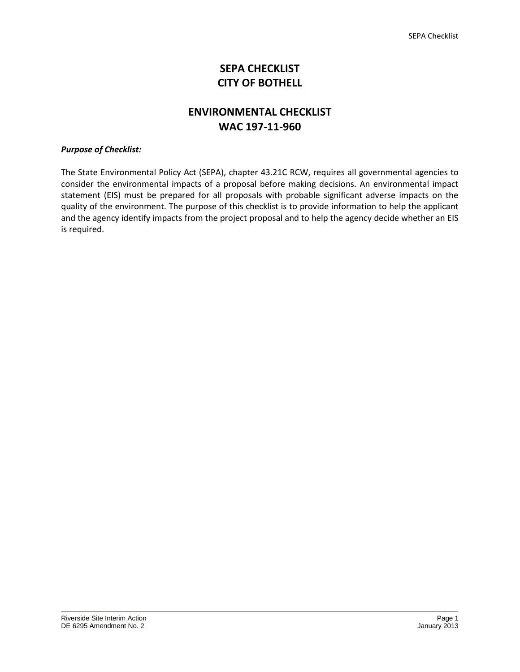# **SEPA CHECKLIST CITY OF BOTHELL**

# **ENVIRONMENTAL CHECKLIST WAC 197-11-960**

# *Purpose of Checklist:*

The State Environmental Policy Act (SEPA), chapter 43.21C RCW, requires all governmental agencies to consider the environmental impacts of a proposal before making decisions. An environmental impact statement (EIS) must be prepared for all proposals with probable significant adverse impacts on the quality of the environment. The purpose of this checklist is to provide information to help the applicant and the agency identify impacts from the project proposal and to help the agency decide whether an EIS is required.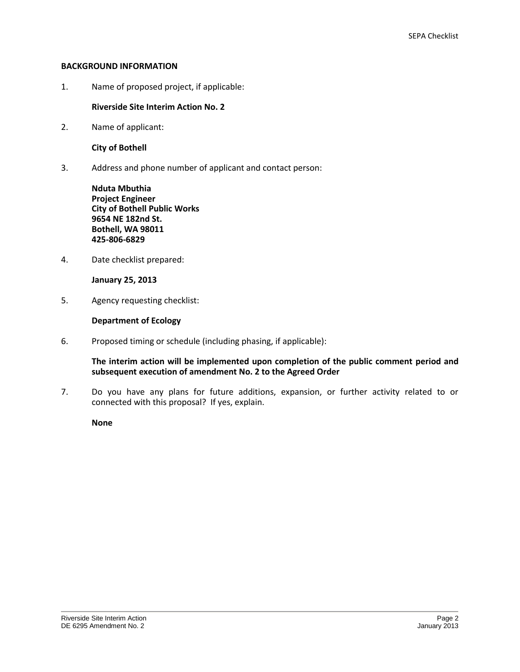## **BACKGROUND INFORMATION**

1. Name of proposed project, if applicable:

# **Riverside Site Interim Action No. 2**

2. Name of applicant:

**City of Bothell** 

3. Address and phone number of applicant and contact person:

**Nduta Mbuthia Project Engineer City of Bothell Public Works 9654 NE 182nd St. Bothell, WA 98011 425-806-6829**

4. Date checklist prepared:

**January 25, 2013** 

5. Agency requesting checklist:

# **Department of Ecology**

6. Proposed timing or schedule (including phasing, if applicable):

**The interim action will be implemented upon completion of the public comment period and subsequent execution of amendment No. 2 to the Agreed Order** 

7. Do you have any plans for future additions, expansion, or further activity related to or connected with this proposal? If yes, explain.

**None**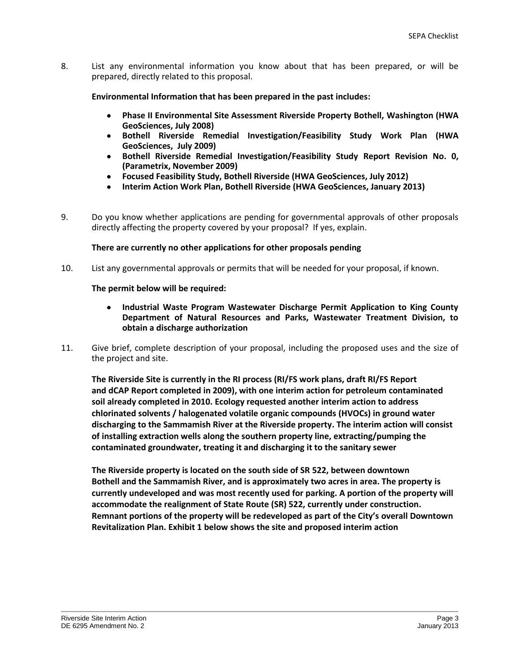8. List any environmental information you know about that has been prepared, or will be prepared, directly related to this proposal.

 **Environmental Information that has been prepared in the past includes:** 

- **Phase II Environmental Site Assessment Riverside Property Bothell, Washington (HWA**   $\bullet$ **GeoSciences, July 2008)**
- **Bothell Riverside Remedial Investigation/Feasibility Study Work Plan (HWA**   $\bullet$ **GeoSciences, July 2009)**
- **Bothell Riverside Remedial Investigation/Feasibility Study Report Revision No. 0,**   $\bullet$ **(Parametrix, November 2009)**
- **Focused Feasibility Study, Bothell Riverside (HWA GeoSciences, July 2012)**
- **Interim Action Work Plan, Bothell Riverside (HWA GeoSciences, January 2013)**
- 9. Do you know whether applications are pending for governmental approvals of other proposals directly affecting the property covered by your proposal? If yes, explain.

## **There are currently no other applications for other proposals pending**

10. List any governmental approvals or permits that will be needed for your proposal, if known.

 **The permit below will be required:** 

- $\bullet$ **Industrial Waste Program Wastewater Discharge Permit Application to King County Department of Natural Resources and Parks, Wastewater Treatment Division, to obtain a discharge authorization**
- 11. Give brief, complete description of your proposal, including the proposed uses and the size of the project and site.

**The Riverside Site is currently in the RI process (RI/FS work plans, draft RI/FS Report and dCAP Report completed in 2009), with one interim action for petroleum contaminated soil already completed in 2010. Ecology requested another interim action to address chlorinated solvents / halogenated volatile organic compounds (HVOCs) in ground water discharging to the Sammamish River at the Riverside property. The interim action will consist of installing extraction wells along the southern property line, extracting/pumping the contaminated groundwater, treating it and discharging it to the sanitary sewer** 

**The Riverside property is located on the south side of SR 522, between downtown Bothell and the Sammamish River, and is approximately two acres in area. The property is currently undeveloped and was most recently used for parking. A portion of the property will accommodate the realignment of State Route (SR) 522, currently under construction. Remnant portions of the property will be redeveloped as part of the City's overall Downtown Revitalization Plan. Exhibit 1 below shows the site and proposed interim action**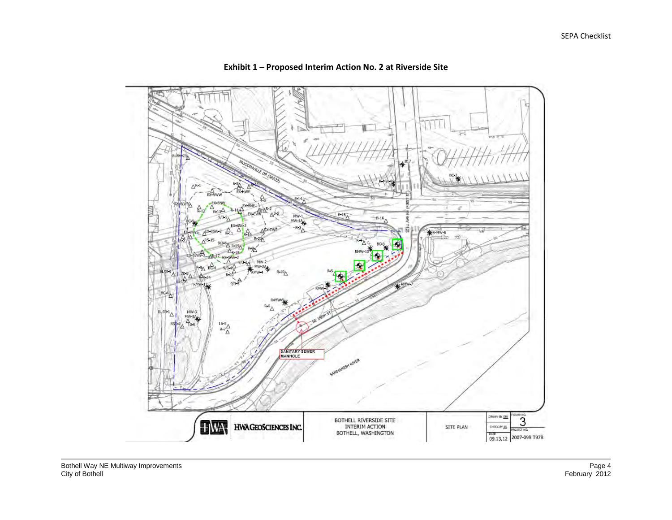

# **Exhibit 1 – Proposed Interim Action No. 2 at Riverside Site**

Bothell Way NE Multiway Improvements Page 4 City of Bothell February 2012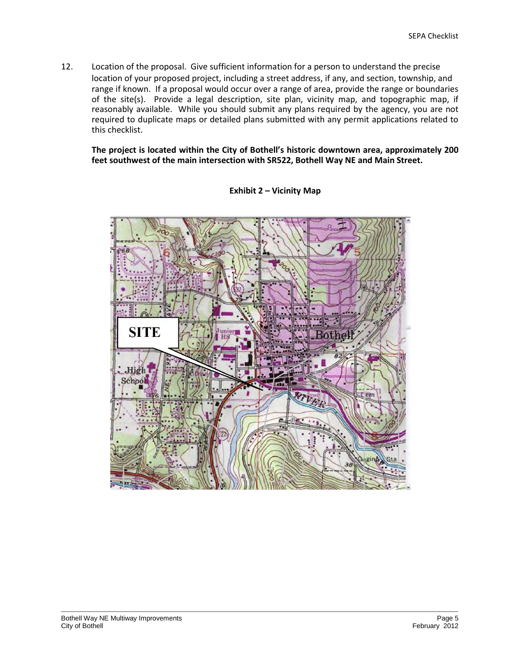12. Location of the proposal. Give sufficient information for a person to understand the precise location of your proposed project, including a street address, if any, and section, township, and range if known. If a proposal would occur over a range of area, provide the range or boundaries of the site(s). Provide a legal description, site plan, vicinity map, and topographic map, if reasonably available. While you should submit any plans required by the agency, you are not required to duplicate maps or detailed plans submitted with any permit applications related to this checklist.

**The project is located within the City of Bothell's historic downtown area, approximately 200 feet southwest of the main intersection with SR522, Bothell Way NE and Main Street.** 



**Exhibit 2 – Vicinity Map**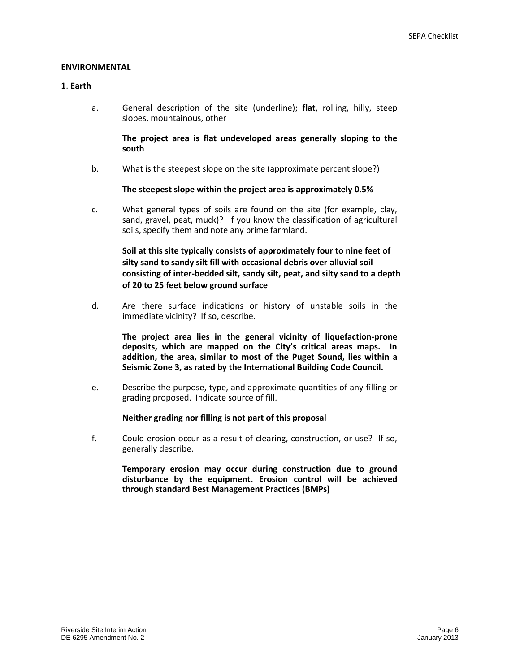## **ENVIRONMENTAL**

#### **1**. **Earth**

a. General description of the site (underline); **flat**, rolling, hilly, steep slopes, mountainous, other

**The project area is flat undeveloped areas generally sloping to the south** 

b. What is the steepest slope on the site (approximate percent slope?)

## **The steepest slope within the project area is approximately 0.5%**

c. What general types of soils are found on the site (for example, clay, sand, gravel, peat, muck)? If you know the classification of agricultural soils, specify them and note any prime farmland.

**Soil at this site typically consists of approximately four to nine feet of silty sand to sandy silt fill with occasional debris over alluvial soil consisting of inter-bedded silt, sandy silt, peat, and silty sand to a depth of 20 to 25 feet below ground surface** 

d. Are there surface indications or history of unstable soils in the immediate vicinity? If so, describe.

**The project area lies in the general vicinity of liquefaction-prone deposits, which are mapped on the City's critical areas maps. In addition, the area, similar to most of the Puget Sound, lies within a Seismic Zone 3, as rated by the International Building Code Council.** 

e. Describe the purpose, type, and approximate quantities of any filling or grading proposed. Indicate source of fill.

#### **Neither grading nor filling is not part of this proposal**

f. Could erosion occur as a result of clearing, construction, or use? If so, generally describe.

> **Temporary erosion may occur during construction due to ground disturbance by the equipment. Erosion control will be achieved through standard Best Management Practices (BMPs)**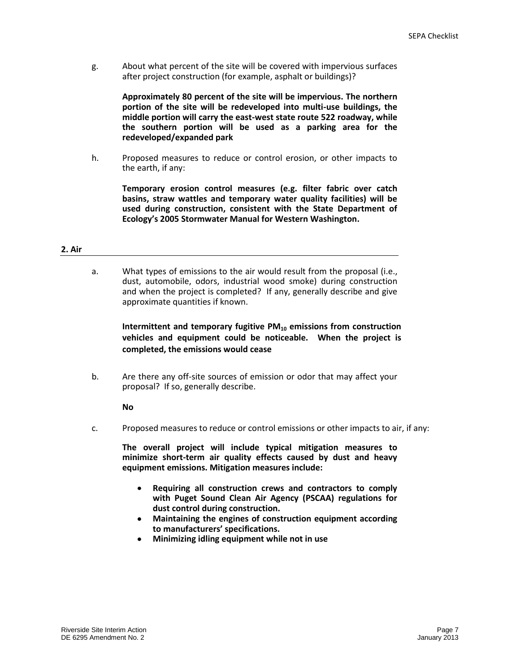g. About what percent of the site will be covered with impervious surfaces after project construction (for example, asphalt or buildings)?

> **Approximately 80 percent of the site will be impervious. The northern portion of the site will be redeveloped into multi-use buildings, the middle portion will carry the east-west state route 522 roadway, while the southern portion will be used as a parking area for the redeveloped/expanded park**

h. Proposed measures to reduce or control erosion, or other impacts to the earth, if any:

**Temporary erosion control measures (e.g. filter fabric over catch basins, straw wattles and temporary water quality facilities) will be used during construction, consistent with the State Department of Ecology's 2005 Stormwater Manual for Western Washington.** 

#### **2. Air**

a. What types of emissions to the air would result from the proposal (i.e., dust, automobile, odors, industrial wood smoke) during construction and when the project is completed? If any, generally describe and give approximate quantities if known.

**Intermittent and temporary fugitive PM10 emissions from construction vehicles and equipment could be noticeable. When the project is completed, the emissions would cease** 

b. Are there any off-site sources of emission or odor that may affect your proposal? If so, generally describe.

#### **No**

c. Proposed measures to reduce or control emissions or other impacts to air, if any:

**The overall project will include typical mitigation measures to minimize short-term air quality effects caused by dust and heavy equipment emissions. Mitigation measures include:** 

- **Requiring all construction crews and contractors to comply with Puget Sound Clean Air Agency (PSCAA) regulations for dust control during construction.**
- **Maintaining the engines of construction equipment according**   $\bullet$ **to manufacturers' specifications.**
- **Minimizing idling equipment while not in use**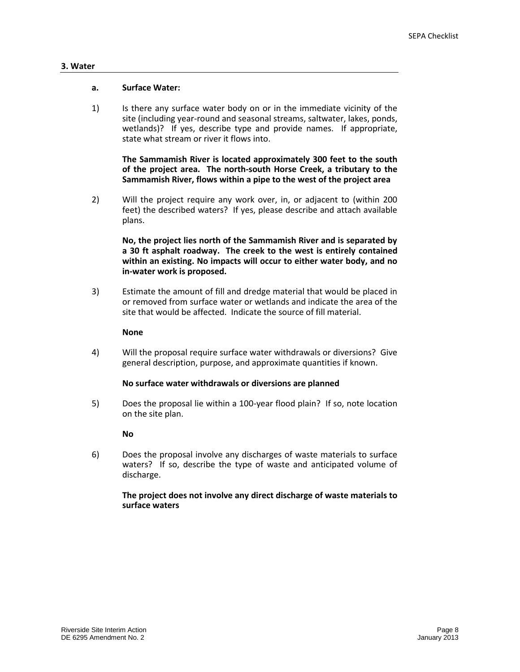#### **3. Water**

## **a. Surface Water:**

1) Is there any surface water body on or in the immediate vicinity of the site (including year-round and seasonal streams, saltwater, lakes, ponds, wetlands)? If yes, describe type and provide names. If appropriate, state what stream or river it flows into.

**The Sammamish River is located approximately 300 feet to the south of the project area. The north-south Horse Creek, a tributary to the Sammamish River, flows within a pipe to the west of the project area** 

2) Will the project require any work over, in, or adjacent to (within 200 feet) the described waters? If yes, please describe and attach available plans.

**No, the project lies north of the Sammamish River and is separated by a 30 ft asphalt roadway. The creek to the west is entirely contained within an existing. No impacts will occur to either water body, and no in-water work is proposed.** 

3) Estimate the amount of fill and dredge material that would be placed in or removed from surface water or wetlands and indicate the area of the site that would be affected. Indicate the source of fill material.

#### **None**

4) Will the proposal require surface water withdrawals or diversions? Give general description, purpose, and approximate quantities if known.

## **No surface water withdrawals or diversions are planned**

5) Does the proposal lie within a 100-year flood plain? If so, note location on the site plan.

## **No**

6) Does the proposal involve any discharges of waste materials to surface waters? If so, describe the type of waste and anticipated volume of discharge.

## **The project does not involve any direct discharge of waste materials to surface waters**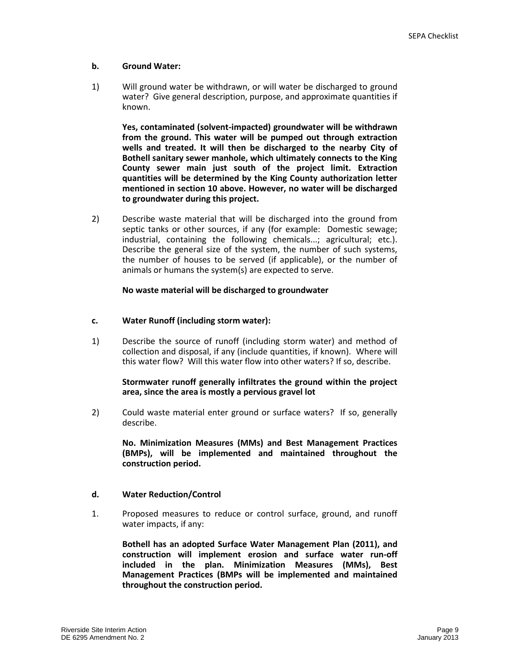## **b. Ground Water:**

1) Will ground water be withdrawn, or will water be discharged to ground water? Give general description, purpose, and approximate quantities if known.

**Yes, contaminated (solvent-impacted) groundwater will be withdrawn from the ground. This water will be pumped out through extraction wells and treated. It will then be discharged to the nearby City of Bothell sanitary sewer manhole, which ultimately connects to the King County sewer main just south of the project limit. Extraction quantities will be determined by the King County authorization letter mentioned in section 10 above. However, no water will be discharged to groundwater during this project.** 

2) Describe waste material that will be discharged into the ground from septic tanks or other sources, if any (for example: Domestic sewage; industrial, containing the following chemicals...; agricultural; etc.). Describe the general size of the system, the number of such systems, the number of houses to be served (if applicable), or the number of animals or humans the system(s) are expected to serve.

## **No waste material will be discharged to groundwater**

## **c. Water Runoff (including storm water):**

1) Describe the source of runoff (including storm water) and method of collection and disposal, if any (include quantities, if known). Where will this water flow? Will this water flow into other waters? If so, describe.

## **Stormwater runoff generally infiltrates the ground within the project area, since the area is mostly a pervious gravel lot**

2) Could waste material enter ground or surface waters? If so, generally describe.

 **No. Minimization Measures (MMs) and Best Management Practices (BMPs), will be implemented and maintained throughout the construction period.** 

## **d. Water Reduction/Control**

1. Proposed measures to reduce or control surface, ground, and runoff water impacts, if any:

**Bothell has an adopted Surface Water Management Plan (2011), and construction will implement erosion and surface water run-off included in the plan. Minimization Measures (MMs), Best Management Practices (BMPs will be implemented and maintained throughout the construction period.**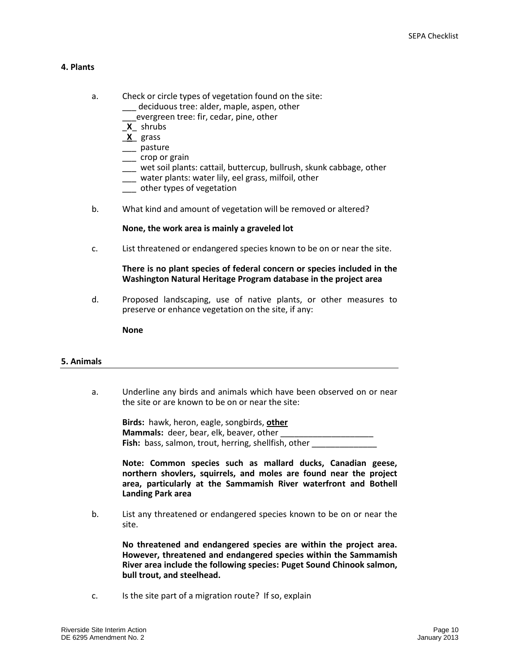## **4. Plants**

- a. Check or circle types of vegetation found on the site: deciduous tree: alder, maple, aspen, other \_\_\_evergreen tree: fir, cedar, pine, other
	- \_**X**\_ shrubs
	- \_**X**\_ grass
	- \_\_\_ pasture
	- \_\_\_ crop or grain
	- \_\_\_ wet soil plants: cattail, buttercup, bullrush, skunk cabbage, other
	- \_\_\_ water plants: water lily, eel grass, milfoil, other
	- \_\_\_ other types of vegetation
- b. What kind and amount of vegetation will be removed or altered?

## **None, the work area is mainly a graveled lot**

c. List threatened or endangered species known to be on or near the site.

## **There is no plant species of federal concern or species included in the Washington Natural Heritage Program database in the project area**

d. Proposed landscaping, use of native plants, or other measures to preserve or enhance vegetation on the site, if any:

**None** 

#### **5. Animals**

a. Underline any birds and animals which have been observed on or near the site or are known to be on or near the site:

**Birds:** hawk, heron, eagle, songbirds, **other Mammals:** deer, bear, elk, beaver, other **Fish:** bass, salmon, trout, herring, shellfish, other

**Note: Common species such as mallard ducks, Canadian geese, northern shovlers, squirrels, and moles are found near the project area, particularly at the Sammamish River waterfront and Bothell Landing Park area** 

b. List any threatened or endangered species known to be on or near the site.

**No threatened and endangered species are within the project area. However, threatened and endangered species within the Sammamish River area include the following species: Puget Sound Chinook salmon, bull trout, and steelhead.**

c. Is the site part of a migration route? If so, explain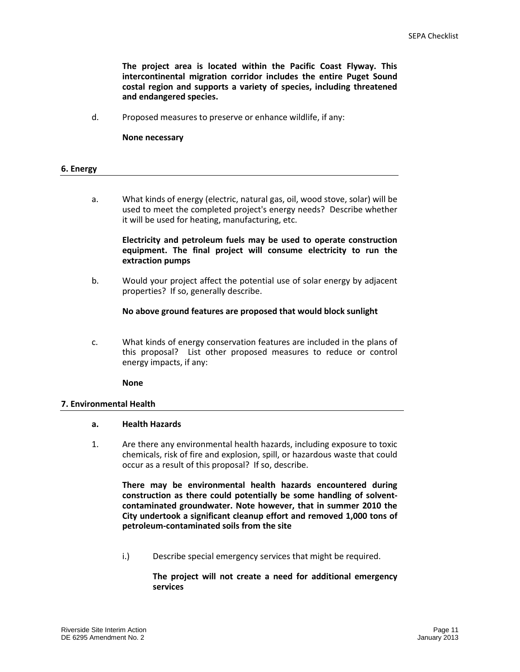**The project area is located within the Pacific Coast Flyway. This intercontinental migration corridor includes the entire Puget Sound costal region and supports a variety of species, including threatened and endangered species.** 

d. Proposed measures to preserve or enhance wildlife, if any:

**None necessary** 

| 6. Energy |
|-----------|
|-----------|

a. What kinds of energy (electric, natural gas, oil, wood stove, solar) will be used to meet the completed project's energy needs? Describe whether it will be used for heating, manufacturing, etc.

**Electricity and petroleum fuels may be used to operate construction equipment. The final project will consume electricity to run the extraction pumps** 

b. Would your project affect the potential use of solar energy by adjacent properties? If so, generally describe.

**No above ground features are proposed that would block sunlight** 

c. What kinds of energy conservation features are included in the plans of this proposal? List other proposed measures to reduce or control energy impacts, if any:

**None** 

## **7. Environmental Health**

## **a. Health Hazards**

1. Are there any environmental health hazards, including exposure to toxic chemicals, risk of fire and explosion, spill, or hazardous waste that could occur as a result of this proposal? If so, describe.

**There may be environmental health hazards encountered during construction as there could potentially be some handling of solventcontaminated groundwater. Note however, that in summer 2010 the City undertook a significant cleanup effort and removed 1,000 tons of petroleum-contaminated soils from the site** 

i.) Describe special emergency services that might be required.

## **The project will not create a need for additional emergency services**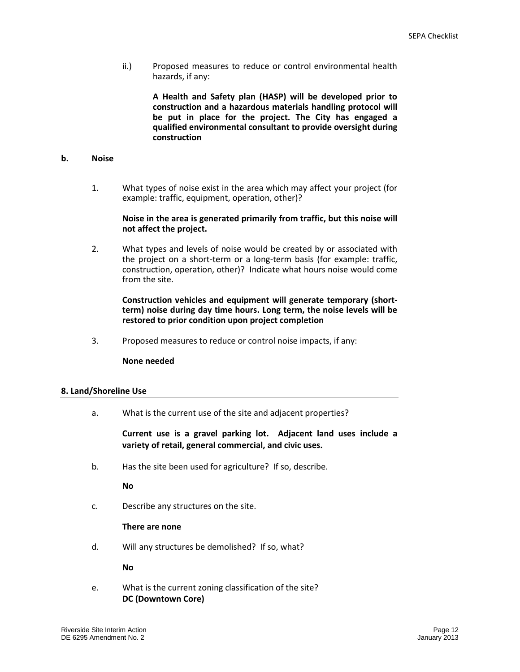ii.) Proposed measures to reduce or control environmental health hazards, if any:

> **A Health and Safety plan (HASP) will be developed prior to construction and a hazardous materials handling protocol will be put in place for the project. The City has engaged a qualified environmental consultant to provide oversight during construction**

## **b. Noise**

1. What types of noise exist in the area which may affect your project (for example: traffic, equipment, operation, other)?

## **Noise in the area is generated primarily from traffic, but this noise will not affect the project.**

2. What types and levels of noise would be created by or associated with the project on a short-term or a long-term basis (for example: traffic, construction, operation, other)? Indicate what hours noise would come from the site.

## **Construction vehicles and equipment will generate temporary (shortterm) noise during day time hours. Long term, the noise levels will be restored to prior condition upon project completion**

3. Proposed measures to reduce or control noise impacts, if any:

#### **None needed**

#### **8. Land/Shoreline Use**

a. What is the current use of the site and adjacent properties?

**Current use is a gravel parking lot. Adjacent land uses include a variety of retail, general commercial, and civic uses.** 

b. Has the site been used for agriculture? If so, describe.

**No**

c. Describe any structures on the site.

#### **There are none**

d. Will any structures be demolished? If so, what?

**No**

e. What is the current zoning classification of the site? **DC (Downtown Core)**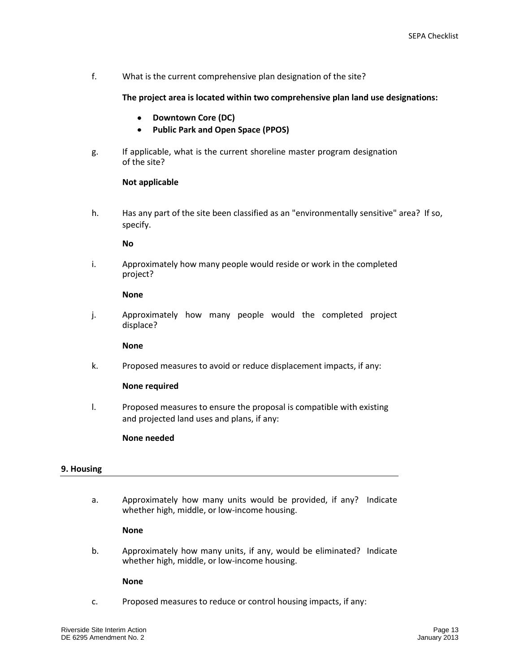f. What is the current comprehensive plan designation of the site?

 **The project area is located within two comprehensive plan land use designations:** 

- **Downtown Core (DC)**   $\bullet$
- $\bullet$ **Public Park and Open Space (PPOS)**
- g. If applicable, what is the current shoreline master program designation of the site?

## **Not applicable**

h. Has any part of the site been classified as an "environmentally sensitive" area? If so, specify.

## **No**

i. Approximately how many people would reside or work in the completed project?

## **None**

j. Approximately how many people would the completed project displace?

**None** 

k. Proposed measures to avoid or reduce displacement impacts, if any:

## **None required**

l. Proposed measures to ensure the proposal is compatible with existing and projected land uses and plans, if any:

## **None needed**

## **9. Housing**

a. Approximately how many units would be provided, if any? Indicate whether high, middle, or low-income housing.

## **None**

b. Approximately how many units, if any, would be eliminated? Indicate whether high, middle, or low-income housing.

#### **None**

c. Proposed measures to reduce or control housing impacts, if any: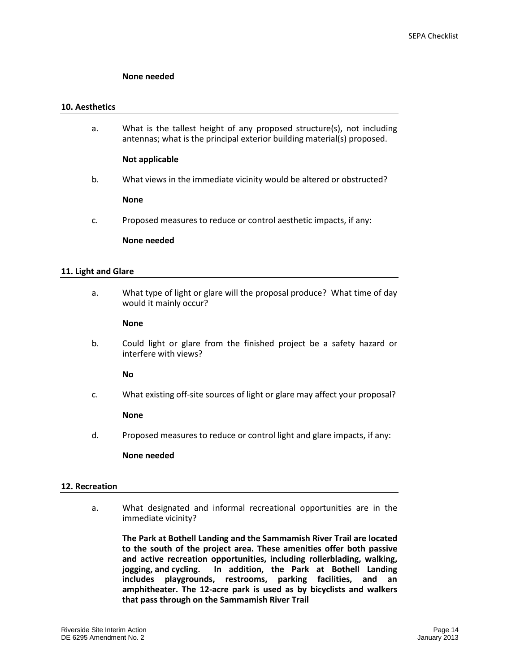## **None needed**

#### **10. Aesthetics**

a. What is the tallest height of any proposed structure(s), not including antennas; what is the principal exterior building material(s) proposed.

## **Not applicable**

b. What views in the immediate vicinity would be altered or obstructed?

#### **None**

c. Proposed measures to reduce or control aesthetic impacts, if any:

#### **None needed**

## **11. Light and Glare**

a. What type of light or glare will the proposal produce? What time of day would it mainly occur?

## **None**

b. Could light or glare from the finished project be a safety hazard or interfere with views?

**No**

c. What existing off-site sources of light or glare may affect your proposal?

#### **None**

d. Proposed measures to reduce or control light and glare impacts, if any:

#### **None needed**

#### **12. Recreation**

a. What designated and informal recreational opportunities are in the immediate vicinity?

**The Park at Bothell Landing and the Sammamish River Trail are located to the south of the project area. These amenities offer both passive and active recreation opportunities, including rollerblading, walking, jogging, and cycling. In addition, the Park at Bothell Landing includes playgrounds, restrooms, parking facilities, and an amphitheater. The 12-acre park is used as by bicyclists and walkers that pass through on the Sammamish River Trail**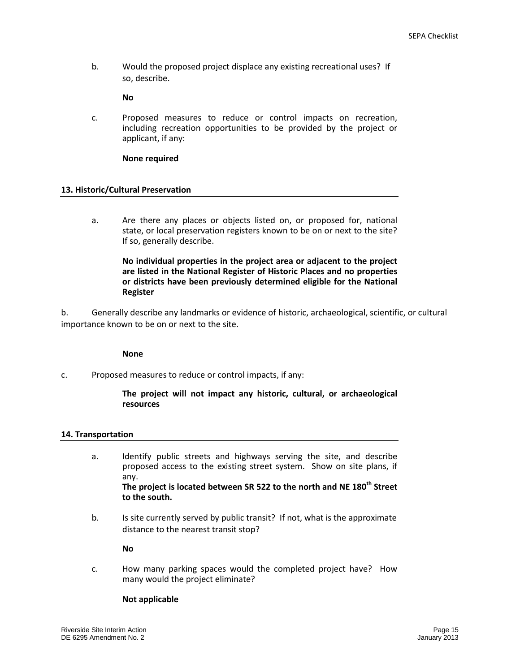b. Would the proposed project displace any existing recreational uses? If so, describe.

## **No**

c. Proposed measures to reduce or control impacts on recreation, including recreation opportunities to be provided by the project or applicant, if any:

## **None required**

## **13. Historic/Cultural Preservation**

a. Are there any places or objects listed on, or proposed for, national state, or local preservation registers known to be on or next to the site? If so, generally describe.

**No individual properties in the project area or adjacent to the project are listed in the National Register of Historic Places and no properties or districts have been previously determined eligible for the National Register** 

b. Generally describe any landmarks or evidence of historic, archaeological, scientific, or cultural importance known to be on or next to the site.

#### **None**

c. Proposed measures to reduce or control impacts, if any:

**The project will not impact any historic, cultural, or archaeological resources** 

#### **14. Transportation**

a. Identify public streets and highways serving the site, and describe proposed access to the existing street system. Show on site plans, if any. **The project is located between SR 522 to the north and NE 180th Street** 

**to the south.** 

b. Is site currently served by public transit? If not, what is the approximate distance to the nearest transit stop?

**No**

c. How many parking spaces would the completed project have? How many would the project eliminate?

### **Not applicable**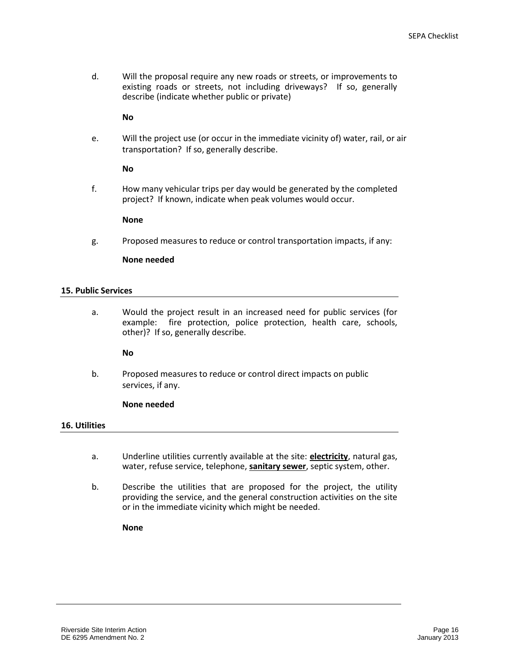d. Will the proposal require any new roads or streets, or improvements to existing roads or streets, not including driveways? If so, generally describe (indicate whether public or private)

## **No**

e. Will the project use (or occur in the immediate vicinity of) water, rail, or air transportation? If so, generally describe.

## **No**

f. How many vehicular trips per day would be generated by the completed project? If known, indicate when peak volumes would occur.

## **None**

g. Proposed measures to reduce or control transportation impacts, if any:

## **None needed**

## **15. Public Services**

a. Would the project result in an increased need for public services (for example: fire protection, police protection, health care, schools, other)? If so, generally describe.

**No** 

b. Proposed measures to reduce or control direct impacts on public services, if any.

## **None needed**

#### **16. Utilities**

- a. Underline utilities currently available at the site: **electricity**, natural gas, water, refuse service, telephone, **sanitary sewer**, septic system, other.
- b. Describe the utilities that are proposed for the project, the utility providing the service, and the general construction activities on the site or in the immediate vicinity which might be needed.

**None**